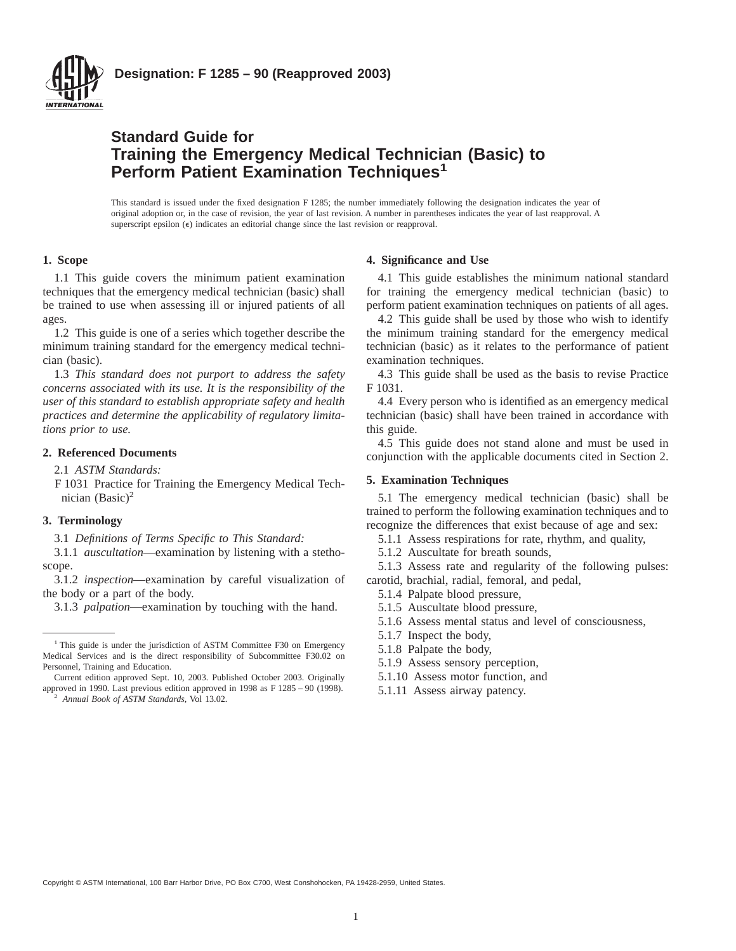

## **Standard Guide for Training the Emergency Medical Technician (Basic) to Perform Patient Examination Techniques<sup>1</sup>**

This standard is issued under the fixed designation F 1285; the number immediately following the designation indicates the year of original adoption or, in the case of revision, the year of last revision. A number in parentheses indicates the year of last reapproval. A superscript epsilon  $(\epsilon)$  indicates an editorial change since the last revision or reapproval.

### **1. Scope**

1.1 This guide covers the minimum patient examination techniques that the emergency medical technician (basic) shall be trained to use when assessing ill or injured patients of all ages.

1.2 This guide is one of a series which together describe the minimum training standard for the emergency medical technician (basic).

1.3 *This standard does not purport to address the safety concerns associated with its use. It is the responsibility of the user of this standard to establish appropriate safety and health practices and determine the applicability of regulatory limitations prior to use.*

#### **2. Referenced Documents**

2.1 *ASTM Standards:*

F 1031 Practice for Training the Emergency Medical Technician  $(Basic)^2$ 

#### **3. Terminology**

3.1 *Definitions of Terms Specific to This Standard:*

3.1.1 *auscultation*—examination by listening with a stethoscope.

3.1.2 *inspection*—examination by careful visualization of the body or a part of the body.

3.1.3 *palpation*—examination by touching with the hand.

Current edition approved Sept. 10, 2003. Published October 2003. Originally approved in 1990. Last previous edition approved in 1998 as F 1285 – 90 (1998).

<sup>2</sup> *Annual Book of ASTM Standards*, Vol 13.02.

#### **4. Significance and Use**

4.1 This guide establishes the minimum national standard for training the emergency medical technician (basic) to perform patient examination techniques on patients of all ages.

4.2 This guide shall be used by those who wish to identify the minimum training standard for the emergency medical technician (basic) as it relates to the performance of patient examination techniques.

4.3 This guide shall be used as the basis to revise Practice F 1031.

4.4 Every person who is identified as an emergency medical technician (basic) shall have been trained in accordance with this guide.

4.5 This guide does not stand alone and must be used in conjunction with the applicable documents cited in Section 2.

#### **5. Examination Techniques**

5.1 The emergency medical technician (basic) shall be trained to perform the following examination techniques and to recognize the differences that exist because of age and sex:

5.1.1 Assess respirations for rate, rhythm, and quality,

5.1.2 Auscultate for breath sounds,

5.1.3 Assess rate and regularity of the following pulses: carotid, brachial, radial, femoral, and pedal,

- 5.1.4 Palpate blood pressure,
- 5.1.5 Auscultate blood pressure,
- 5.1.6 Assess mental status and level of consciousness,
- 5.1.7 Inspect the body,
- 5.1.8 Palpate the body,
- 5.1.9 Assess sensory perception,
- 5.1.10 Assess motor function, and
- 5.1.11 Assess airway patency.

Copyright © ASTM International, 100 Barr Harbor Drive, PO Box C700, West Conshohocken, PA 19428-2959, United States.

<sup>&</sup>lt;sup>1</sup> This guide is under the jurisdiction of ASTM Committee F30 on Emergency Medical Services and is the direct responsibility of Subcommittee F30.02 on Personnel, Training and Education.